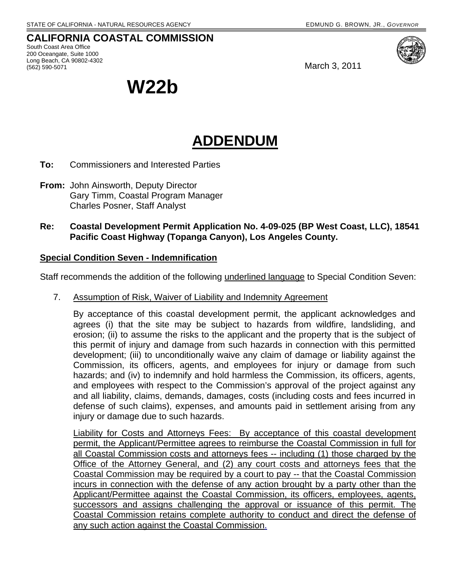# **CALIFORNIA COASTAL COMMISSION**  South Coast Area Office

200 Oceangate, Suite 1000 Long Beach, CA 90802-4302 (562) 590-5071 March 3, 2011



**W22b** 

# **ADDENDUM**

- **To:** Commissioners and Interested Parties
- **From:** John Ainsworth, Deputy Director Gary Timm, Coastal Program Manager Charles Posner, Staff Analyst
- **Re: Coastal Development Permit Application No. 4-09-025 (BP West Coast, LLC), 18541 Pacific Coast Highway (Topanga Canyon), Los Angeles County.**

### **Special Condition Seven - Indemnification**

Staff recommends the addition of the following underlined language to Special Condition Seven:

7. Assumption of Risk, Waiver of Liability and Indemnity Agreement

By acceptance of this coastal development permit, the applicant acknowledges and agrees (i) that the site may be subject to hazards from wildfire, landsliding, and erosion; (ii) to assume the risks to the applicant and the property that is the subject of this permit of injury and damage from such hazards in connection with this permitted development; (iii) to unconditionally waive any claim of damage or liability against the Commission, its officers, agents, and employees for injury or damage from such hazards; and (iv) to indemnify and hold harmless the Commission, its officers, agents, and employees with respect to the Commission's approval of the project against any and all liability, claims, demands, damages, costs (including costs and fees incurred in defense of such claims), expenses, and amounts paid in settlement arising from any injury or damage due to such hazards.

Liability for Costs and Attorneys Fees: By acceptance of this coastal development permit, the Applicant/Permittee agrees to reimburse the Coastal Commission in full for all Coastal Commission costs and attorneys fees -- including (1) those charged by the Office of the Attorney General, and (2) any court costs and attorneys fees that the Coastal Commission may be required by a court to pay -- that the Coastal Commission incurs in connection with the defense of any action brought by a party other than the Applicant/Permittee against the Coastal Commission, its officers, employees, agents, successors and assigns challenging the approval or issuance of this permit. The Coastal Commission retains complete authority to conduct and direct the defense of any such action against the Coastal Commission.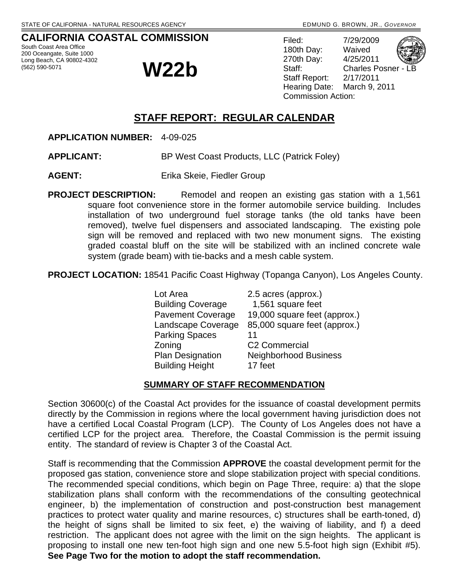# **CALIFORNIA COASTAL COMMISSION**

South Coast Area Office 200 Oceangate, Suite 1000 Long Beach, CA 90802-4302

# Long Beach, CA 306022-4302<br>(562) 590-5071 **W22b**

| Filed:                    | 7/29/2009                  |  |
|---------------------------|----------------------------|--|
| 180th Day:                | Waived                     |  |
| 270th Day:                | 4/25/2011                  |  |
| Staff:                    | <b>Charles Posner - LB</b> |  |
| <b>Staff Report:</b>      | 2/17/2011                  |  |
| Hearing Date:             | March 9, 2011              |  |
| <b>Commission Action:</b> |                            |  |
|                           |                            |  |

# **STAFF REPORT: REGULAR CALENDAR**

**APPLICATION NUMBER:** 4-09-025

**APPLICANT:** BP West Coast Products, LLC (Patrick Foley)

**AGENT:** Erika Skeie, Fiedler Group

**PROJECT DESCRIPTION:** Remodel and reopen an existing gas station with a 1,561 square foot convenience store in the former automobile service building. Includes installation of two underground fuel storage tanks (the old tanks have been removed), twelve fuel dispensers and associated landscaping. The existing pole sign will be removed and replaced with two new monument signs. The existing graded coastal bluff on the site will be stabilized with an inclined concrete wale system (grade beam) with tie-backs and a mesh cable system.

**PROJECT LOCATION:** 18541 Pacific Coast Highway (Topanga Canyon), Los Angeles County.

Lot Area 2.5 acres (approx.) Building Coverage 1,561 square feet Pavement Coverage 19,000 square feet (approx.) Landscape Coverage 85,000 square feet (approx.) Parking Spaces 11 Zoning C2 Commercial Plan Designation Neighborhood Business Building Height 17 feet

# **SUMMARY OF STAFF RECOMMENDATION**

Section 30600(c) of the Coastal Act provides for the issuance of coastal development permits directly by the Commission in regions where the local government having jurisdiction does not have a certified Local Coastal Program (LCP). The County of Los Angeles does not have a certified LCP for the project area. Therefore, the Coastal Commission is the permit issuing entity. The standard of review is Chapter 3 of the Coastal Act.

Staff is recommending that the Commission **APPROVE** the coastal development permit for the proposed gas station, convenience store and slope stabilization project with special conditions. The recommended special conditions, which begin on Page Three, require: a) that the slope stabilization plans shall conform with the recommendations of the consulting geotechnical engineer, b) the implementation of construction and post-construction best management practices to protect water quality and marine resources, c) structures shall be earth-toned, d) the height of signs shall be limited to six feet, e) the waiving of liability, and f) a deed restriction. The applicant does not agree with the limit on the sign heights. The applicant is proposing to install one new ten-foot high sign and one new 5.5-foot high sign (Exhibit #5). **See Page Two for the motion to adopt the staff recommendation.**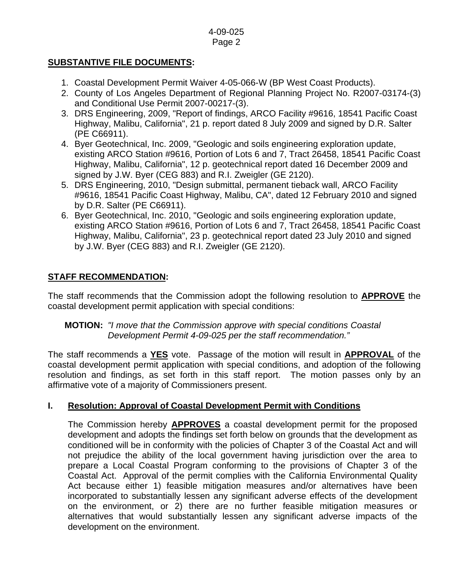### **SUBSTANTIVE FILE DOCUMENTS:**

- 1. Coastal Development Permit Waiver 4-05-066-W (BP West Coast Products).
- 2. County of Los Angeles Department of Regional Planning Project No. R2007-03174-(3) and Conditional Use Permit 2007-00217-(3).
- 3. DRS Engineering, 2009, "Report of findings, ARCO Facility #9616, 18541 Pacific Coast Highway, Malibu, California", 21 p. report dated 8 July 2009 and signed by D.R. Salter (PE C66911).
- 4. Byer Geotechnical, Inc. 2009, "Geologic and soils engineering exploration update, existing ARCO Station #9616, Portion of Lots 6 and 7, Tract 26458, 18541 Pacific Coast Highway, Malibu, California", 12 p. geotechnical report dated 16 December 2009 and signed by J.W. Byer (CEG 883) and R.I. Zweigler (GE 2120).
- 5. DRS Engineering, 2010, "Design submittal, permanent tieback wall, ARCO Facility #9616, 18541 Pacific Coast Highway, Malibu, CA", dated 12 February 2010 and signed by D.R. Salter (PE C66911).
- 6. Byer Geotechnical, Inc. 2010, "Geologic and soils engineering exploration update, existing ARCO Station #9616, Portion of Lots 6 and 7, Tract 26458, 18541 Pacific Coast Highway, Malibu, California", 23 p. geotechnical report dated 23 July 2010 and signed by J.W. Byer (CEG 883) and R.I. Zweigler (GE 2120).

# **STAFF RECOMMENDATION:**

The staff recommends that the Commission adopt the following resolution to **APPROVE** the coastal development permit application with special conditions:

### **MOTION:** *"I move that the Commission approve with special conditions Coastal Development Permit 4-09-025 per the staff recommendation."*

The staff recommends a **YES** vote. Passage of the motion will result in **APPROVAL** of the coastal development permit application with special conditions, and adoption of the following resolution and findings, as set forth in this staff report. The motion passes only by an affirmative vote of a majority of Commissioners present.

# **I. Resolution: Approval of Coastal Development Permit with Conditions**

The Commission hereby **APPROVES** a coastal development permit for the proposed development and adopts the findings set forth below on grounds that the development as conditioned will be in conformity with the policies of Chapter 3 of the Coastal Act and will not prejudice the ability of the local government having jurisdiction over the area to prepare a Local Coastal Program conforming to the provisions of Chapter 3 of the Coastal Act. Approval of the permit complies with the California Environmental Quality Act because either 1) feasible mitigation measures and/or alternatives have been incorporated to substantially lessen any significant adverse effects of the development on the environment, or 2) there are no further feasible mitigation measures or alternatives that would substantially lessen any significant adverse impacts of the development on the environment.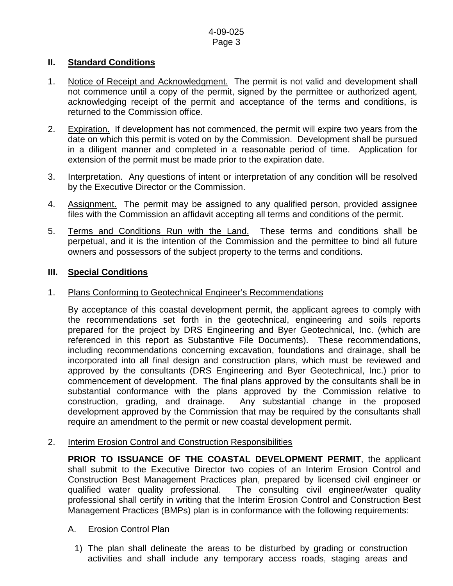### **II. Standard Conditions**

- 1. Notice of Receipt and Acknowledgment. The permit is not valid and development shall not commence until a copy of the permit, signed by the permittee or authorized agent, acknowledging receipt of the permit and acceptance of the terms and conditions, is returned to the Commission office.
- 2. Expiration. If development has not commenced, the permit will expire two years from the date on which this permit is voted on by the Commission. Development shall be pursued in a diligent manner and completed in a reasonable period of time. Application for extension of the permit must be made prior to the expiration date.
- 3. Interpretation. Any questions of intent or interpretation of any condition will be resolved by the Executive Director or the Commission.
- 4. Assignment. The permit may be assigned to any qualified person, provided assignee files with the Commission an affidavit accepting all terms and conditions of the permit.
- 5. Terms and Conditions Run with the Land. These terms and conditions shall be perpetual, and it is the intention of the Commission and the permittee to bind all future owners and possessors of the subject property to the terms and conditions.

### **III. Special Conditions**

### 1. Plans Conforming to Geotechnical Engineer's Recommendations

 By acceptance of this coastal development permit, the applicant agrees to comply with the recommendations set forth in the geotechnical, engineering and soils reports prepared for the project by DRS Engineering and Byer Geotechnical, Inc. (which are referenced in this report as Substantive File Documents). These recommendations, including recommendations concerning excavation, foundations and drainage, shall be incorporated into all final design and construction plans, which must be reviewed and approved by the consultants (DRS Engineering and Byer Geotechnical, Inc.) prior to commencement of development. The final plans approved by the consultants shall be in substantial conformance with the plans approved by the Commission relative to construction, grading, and drainage. Any substantial change in the proposed development approved by the Commission that may be required by the consultants shall require an amendment to the permit or new coastal development permit.

### 2. Interim Erosion Control and Construction Responsibilities

**PRIOR TO ISSUANCE OF THE COASTAL DEVELOPMENT PERMIT**, the applicant shall submit to the Executive Director two copies of an Interim Erosion Control and Construction Best Management Practices plan, prepared by licensed civil engineer or qualified water quality professional. The consulting civil engineer/water quality professional shall certify in writing that the Interim Erosion Control and Construction Best Management Practices (BMPs) plan is in conformance with the following requirements:

### A. Erosion Control Plan

1) The plan shall delineate the areas to be disturbed by grading or construction activities and shall include any temporary access roads, staging areas and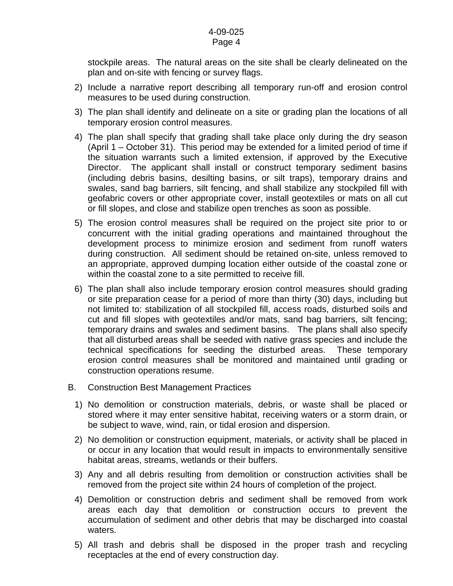stockpile areas. The natural areas on the site shall be clearly delineated on the plan and on-site with fencing or survey flags.

- 2) Include a narrative report describing all temporary run-off and erosion control measures to be used during construction.
- 3) The plan shall identify and delineate on a site or grading plan the locations of all temporary erosion control measures.
- 4) The plan shall specify that grading shall take place only during the dry season (April 1 – October 31). This period may be extended for a limited period of time if the situation warrants such a limited extension, if approved by the Executive Director. The applicant shall install or construct temporary sediment basins (including debris basins, desilting basins, or silt traps), temporary drains and swales, sand bag barriers, silt fencing, and shall stabilize any stockpiled fill with geofabric covers or other appropriate cover, install geotextiles or mats on all cut or fill slopes, and close and stabilize open trenches as soon as possible.
- 5) The erosion control measures shall be required on the project site prior to or concurrent with the initial grading operations and maintained throughout the development process to minimize erosion and sediment from runoff waters during construction. All sediment should be retained on-site, unless removed to an appropriate, approved dumping location either outside of the coastal zone or within the coastal zone to a site permitted to receive fill.
- 6) The plan shall also include temporary erosion control measures should grading or site preparation cease for a period of more than thirty (30) days, including but not limited to: stabilization of all stockpiled fill, access roads, disturbed soils and cut and fill slopes with geotextiles and/or mats, sand bag barriers, silt fencing; temporary drains and swales and sediment basins. The plans shall also specify that all disturbed areas shall be seeded with native grass species and include the technical specifications for seeding the disturbed areas. These temporary erosion control measures shall be monitored and maintained until grading or construction operations resume.
- B. Construction Best Management Practices
	- 1) No demolition or construction materials, debris, or waste shall be placed or stored where it may enter sensitive habitat, receiving waters or a storm drain, or be subject to wave, wind, rain, or tidal erosion and dispersion.
	- 2) No demolition or construction equipment, materials, or activity shall be placed in or occur in any location that would result in impacts to environmentally sensitive habitat areas, streams, wetlands or their buffers.
	- 3) Any and all debris resulting from demolition or construction activities shall be removed from the project site within 24 hours of completion of the project.
	- 4) Demolition or construction debris and sediment shall be removed from work areas each day that demolition or construction occurs to prevent the accumulation of sediment and other debris that may be discharged into coastal waters.
	- 5) All trash and debris shall be disposed in the proper trash and recycling receptacles at the end of every construction day.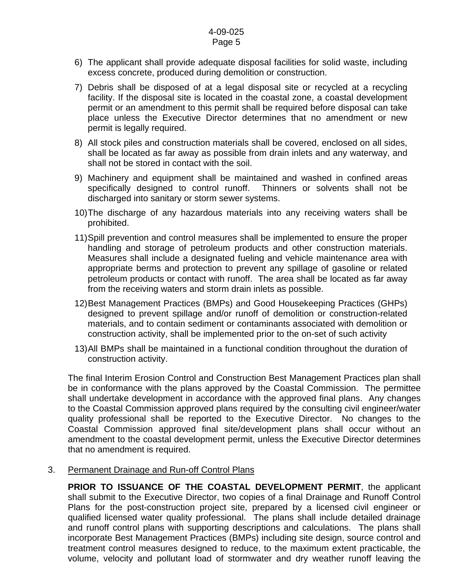- 6) The applicant shall provide adequate disposal facilities for solid waste, including excess concrete, produced during demolition or construction.
- 7) Debris shall be disposed of at a legal disposal site or recycled at a recycling facility. If the disposal site is located in the coastal zone, a coastal development permit or an amendment to this permit shall be required before disposal can take place unless the Executive Director determines that no amendment or new permit is legally required.
- 8) All stock piles and construction materials shall be covered, enclosed on all sides, shall be located as far away as possible from drain inlets and any waterway, and shall not be stored in contact with the soil.
- 9) Machinery and equipment shall be maintained and washed in confined areas specifically designed to control runoff. Thinners or solvents shall not be discharged into sanitary or storm sewer systems.
- 10) The discharge of any hazardous materials into any receiving waters shall be prohibited.
- 11) Spill prevention and control measures shall be implemented to ensure the proper handling and storage of petroleum products and other construction materials. Measures shall include a designated fueling and vehicle maintenance area with appropriate berms and protection to prevent any spillage of gasoline or related petroleum products or contact with runoff. The area shall be located as far away from the receiving waters and storm drain inlets as possible.
- 12) Best Management Practices (BMPs) and Good Housekeeping Practices (GHPs) designed to prevent spillage and/or runoff of demolition or construction-related materials, and to contain sediment or contaminants associated with demolition or construction activity, shall be implemented prior to the on-set of such activity
- 13) All BMPs shall be maintained in a functional condition throughout the duration of construction activity.

The final Interim Erosion Control and Construction Best Management Practices plan shall be in conformance with the plans approved by the Coastal Commission. The permittee shall undertake development in accordance with the approved final plans. Any changes to the Coastal Commission approved plans required by the consulting civil engineer/water quality professional shall be reported to the Executive Director. No changes to the Coastal Commission approved final site/development plans shall occur without an amendment to the coastal development permit, unless the Executive Director determines that no amendment is required.

3. Permanent Drainage and Run-off Control Plans

**PRIOR TO ISSUANCE OF THE COASTAL DEVELOPMENT PERMIT**, the applicant shall submit to the Executive Director, two copies of a final Drainage and Runoff Control Plans for the post-construction project site, prepared by a licensed civil engineer or qualified licensed water quality professional. The plans shall include detailed drainage and runoff control plans with supporting descriptions and calculations. The plans shall incorporate Best Management Practices (BMPs) including site design, source control and treatment control measures designed to reduce, to the maximum extent practicable, the volume, velocity and pollutant load of stormwater and dry weather runoff leaving the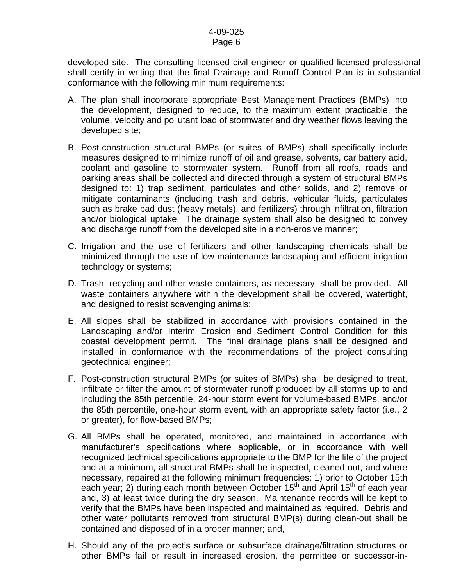developed site. The consulting licensed civil engineer or qualified licensed professional shall certify in writing that the final Drainage and Runoff Control Plan is in substantial conformance with the following minimum requirements:

- A. The plan shall incorporate appropriate Best Management Practices (BMPs) into the development, designed to reduce, to the maximum extent practicable, the volume, velocity and pollutant load of stormwater and dry weather flows leaving the developed site;
- B. Post-construction structural BMPs (or suites of BMPs) shall specifically include measures designed to minimize runoff of oil and grease, solvents, car battery acid, coolant and gasoline to stormwater system. Runoff from all roofs, roads and parking areas shall be collected and directed through a system of structural BMPs designed to: 1) trap sediment, particulates and other solids, and 2) remove or mitigate contaminants (including trash and debris, vehicular fluids, particulates such as brake pad dust (heavy metals), and fertilizers) through infiltration, filtration and/or biological uptake. The drainage system shall also be designed to convey and discharge runoff from the developed site in a non-erosive manner;
- C. Irrigation and the use of fertilizers and other landscaping chemicals shall be minimized through the use of low-maintenance landscaping and efficient irrigation technology or systems;
- D. Trash, recycling and other waste containers, as necessary, shall be provided. All waste containers anywhere within the development shall be covered, watertight, and designed to resist scavenging animals;
- E. All slopes shall be stabilized in accordance with provisions contained in the Landscaping and/or Interim Erosion and Sediment Control Condition for this coastal development permit. The final drainage plans shall be designed and installed in conformance with the recommendations of the project consulting geotechnical engineer;
- F. Post-construction structural BMPs (or suites of BMPs) shall be designed to treat, infiltrate or filter the amount of stormwater runoff produced by all storms up to and including the 85th percentile, 24-hour storm event for volume-based BMPs, and/or the 85th percentile, one-hour storm event, with an appropriate safety factor (i.e., 2 or greater), for flow-based BMPs;
- G. All BMPs shall be operated, monitored, and maintained in accordance with manufacturer's specifications where applicable, or in accordance with well recognized technical specifications appropriate to the BMP for the life of the project and at a minimum, all structural BMPs shall be inspected, cleaned-out, and where necessary, repaired at the following minimum frequencies: 1) prior to October 15th each year; 2) during each month between October 15<sup>th</sup> and April 15<sup>th</sup> of each year and, 3) at least twice during the dry season. Maintenance records will be kept to verify that the BMPs have been inspected and maintained as required. Debris and other water pollutants removed from structural BMP(s) during clean-out shall be contained and disposed of in a proper manner; and,
- H. Should any of the project's surface or subsurface drainage/filtration structures or other BMPs fail or result in increased erosion, the permittee or successor-in-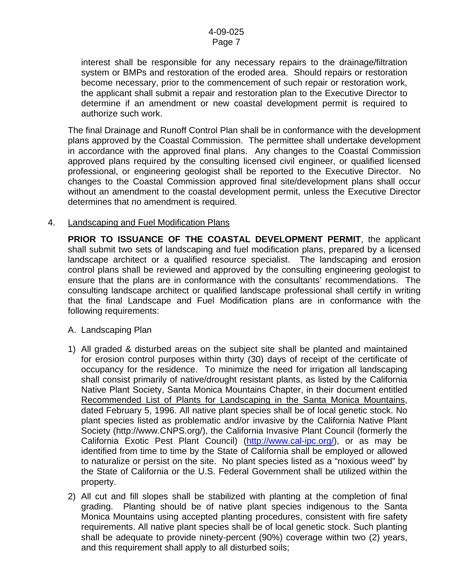interest shall be responsible for any necessary repairs to the drainage/filtration system or BMPs and restoration of the eroded area. Should repairs or restoration become necessary, prior to the commencement of such repair or restoration work, the applicant shall submit a repair and restoration plan to the Executive Director to determine if an amendment or new coastal development permit is required to authorize such work.

The final Drainage and Runoff Control Plan shall be in conformance with the development plans approved by the Coastal Commission. The permittee shall undertake development in accordance with the approved final plans. Any changes to the Coastal Commission approved plans required by the consulting licensed civil engineer, or qualified licensed professional, or engineering geologist shall be reported to the Executive Director. No changes to the Coastal Commission approved final site/development plans shall occur without an amendment to the coastal development permit, unless the Executive Director determines that no amendment is required.

### 4. Landscaping and Fuel Modification Plans

**PRIOR TO ISSUANCE OF THE COASTAL DEVELOPMENT PERMIT**, the applicant shall submit two sets of landscaping and fuel modification plans, prepared by a licensed landscape architect or a qualified resource specialist. The landscaping and erosion control plans shall be reviewed and approved by the consulting engineering geologist to ensure that the plans are in conformance with the consultants' recommendations. The consulting landscape architect or qualified landscape professional shall certify in writing that the final Landscape and Fuel Modification plans are in conformance with the following requirements:

- A. Landscaping Plan
- 1) All graded & disturbed areas on the subject site shall be planted and maintained for erosion control purposes within thirty (30) days of receipt of the certificate of occupancy for the residence. To minimize the need for irrigation all landscaping shall consist primarily of native/drought resistant plants, as listed by the California Native Plant Society, Santa Monica Mountains Chapter, in their document entitled Recommended List of Plants for Landscaping in the Santa Monica Mountains, dated February 5, 1996. All native plant species shall be of local genetic stock. No plant species listed as problematic and/or invasive by the California Native Plant Society ([http://www.CNPS.org/\)](http://www.cnps.org/), the California Invasive Plant Council (formerly the California Exotic Pest Plant Council) [\(http://www.cal-ipc.org/](http://www.cal-ipc.org/)), or as may be identified from time to time by the State of California shall be employed or allowed to naturalize or persist on the site. No plant species listed as a "noxious weed" by the State of California or the U.S. Federal Government shall be utilized within the property.
- 2) All cut and fill slopes shall be stabilized with planting at the completion of final grading. Planting should be of native plant species indigenous to the Santa Monica Mountains using accepted planting procedures, consistent with fire safety requirements. All native plant species shall be of local genetic stock. Such planting shall be adequate to provide ninety-percent (90%) coverage within two (2) years, and this requirement shall apply to all disturbed soils;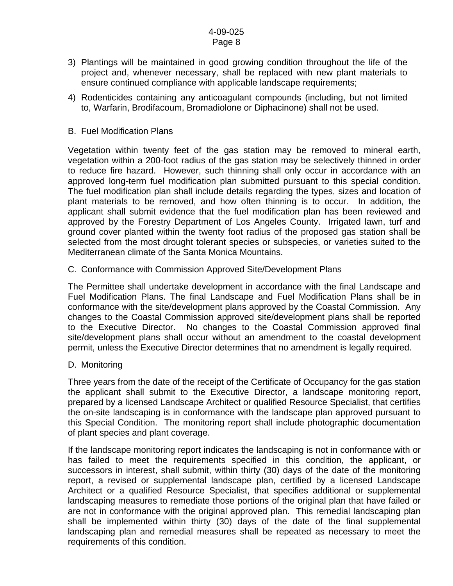- 3) Plantings will be maintained in good growing condition throughout the life of the project and, whenever necessary, shall be replaced with new plant materials to ensure continued compliance with applicable landscape requirements;
- 4) Rodenticides containing any anticoagulant compounds (including, but not limited to, Warfarin, Brodifacoum, Bromadiolone or Diphacinone) shall not be used.
- B. Fuel Modification Plans

Vegetation within twenty feet of the gas station may be removed to mineral earth, vegetation within a 200-foot radius of the gas station may be selectively thinned in order to reduce fire hazard. However, such thinning shall only occur in accordance with an approved long-term fuel modification plan submitted pursuant to this special condition. The fuel modification plan shall include details regarding the types, sizes and location of plant materials to be removed, and how often thinning is to occur. In addition, the applicant shall submit evidence that the fuel modification plan has been reviewed and approved by the Forestry Department of Los Angeles County. Irrigated lawn, turf and ground cover planted within the twenty foot radius of the proposed gas station shall be selected from the most drought tolerant species or subspecies, or varieties suited to the Mediterranean climate of the Santa Monica Mountains.

C. Conformance with Commission Approved Site/Development Plans

The Permittee shall undertake development in accordance with the final Landscape and Fuel Modification Plans. The final Landscape and Fuel Modification Plans shall be in conformance with the site/development plans approved by the Coastal Commission. Any changes to the Coastal Commission approved site/development plans shall be reported to the Executive Director. No changes to the Coastal Commission approved final site/development plans shall occur without an amendment to the coastal development permit, unless the Executive Director determines that no amendment is legally required.

D. Monitoring

Three years from the date of the receipt of the Certificate of Occupancy for the gas station the applicant shall submit to the Executive Director, a landscape monitoring report, prepared by a licensed Landscape Architect or qualified Resource Specialist, that certifies the on-site landscaping is in conformance with the landscape plan approved pursuant to this Special Condition. The monitoring report shall include photographic documentation of plant species and plant coverage.

If the landscape monitoring report indicates the landscaping is not in conformance with or has failed to meet the requirements specified in this condition, the applicant, or successors in interest, shall submit, within thirty (30) days of the date of the monitoring report, a revised or supplemental landscape plan, certified by a licensed Landscape Architect or a qualified Resource Specialist, that specifies additional or supplemental landscaping measures to remediate those portions of the original plan that have failed or are not in conformance with the original approved plan. This remedial landscaping plan shall be implemented within thirty (30) days of the date of the final supplemental landscaping plan and remedial measures shall be repeated as necessary to meet the requirements of this condition.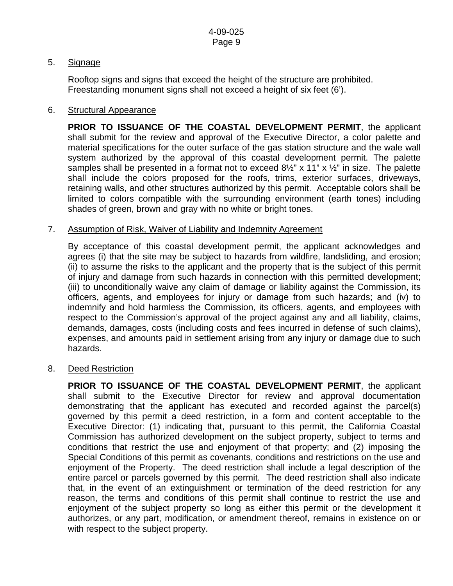### 5. Signage

Rooftop signs and signs that exceed the height of the structure are prohibited. Freestanding monument signs shall not exceed a height of six feet (6').

### 6. Structural Appearance

**PRIOR TO ISSUANCE OF THE COASTAL DEVELOPMENT PERMIT**, the applicant shall submit for the review and approval of the Executive Director, a color palette and material specifications for the outer surface of the gas station structure and the wale wall system authorized by the approval of this coastal development permit. The palette samples shall be presented in a format not to exceed  $8\frac{1}{2}$ " x 11" x  $\frac{1}{2}$ " in size. The palette shall include the colors proposed for the roofs, trims, exterior surfaces, driveways, retaining walls, and other structures authorized by this permit. Acceptable colors shall be limited to colors compatible with the surrounding environment (earth tones) including shades of green, brown and gray with no white or bright tones.

### 7. Assumption of Risk, Waiver of Liability and Indemnity Agreement

By acceptance of this coastal development permit, the applicant acknowledges and agrees (i) that the site may be subject to hazards from wildfire, landsliding, and erosion; (ii) to assume the risks to the applicant and the property that is the subject of this permit of injury and damage from such hazards in connection with this permitted development; (iii) to unconditionally waive any claim of damage or liability against the Commission, its officers, agents, and employees for injury or damage from such hazards; and (iv) to indemnify and hold harmless the Commission, its officers, agents, and employees with respect to the Commission's approval of the project against any and all liability, claims, demands, damages, costs (including costs and fees incurred in defense of such claims), expenses, and amounts paid in settlement arising from any injury or damage due to such hazards.

### 8. Deed Restriction

**PRIOR TO ISSUANCE OF THE COASTAL DEVELOPMENT PERMIT**, the applicant shall submit to the Executive Director for review and approval documentation demonstrating that the applicant has executed and recorded against the parcel(s) governed by this permit a deed restriction, in a form and content acceptable to the Executive Director: (1) indicating that, pursuant to this permit, the California Coastal Commission has authorized development on the subject property, subject to terms and conditions that restrict the use and enjoyment of that property; and (2) imposing the Special Conditions of this permit as covenants, conditions and restrictions on the use and enjoyment of the Property. The deed restriction shall include a legal description of the entire parcel or parcels governed by this permit. The deed restriction shall also indicate that, in the event of an extinguishment or termination of the deed restriction for any reason, the terms and conditions of this permit shall continue to restrict the use and enjoyment of the subject property so long as either this permit or the development it authorizes, or any part, modification, or amendment thereof, remains in existence on or with respect to the subject property.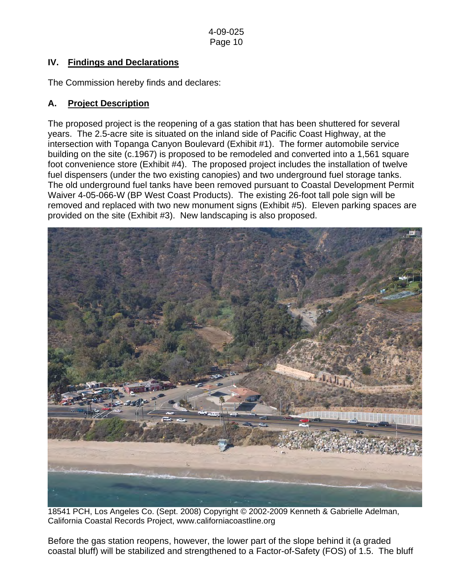# **IV. Findings and Declarations**

The Commission hereby finds and declares:

## **A. Project Description**

The proposed project is the reopening of a gas station that has been shuttered for several years. The 2.5-acre site is situated on the inland side of Pacific Coast Highway, at the intersection with Topanga Canyon Boulevard (Exhibit #1). The former automobile service building on the site (c.1967) is proposed to be remodeled and converted into a 1,561 square foot convenience store (Exhibit #4). The proposed project includes the installation of twelve fuel dispensers (under the two existing canopies) and two underground fuel storage tanks. The old underground fuel tanks have been removed pursuant to Coastal Development Permit Waiver 4-05-066-W (BP West Coast Products). The existing 26-foot tall pole sign will be removed and replaced with two new monument signs (Exhibit #5). Eleven parking spaces are provided on the site (Exhibit #3). New landscaping is also proposed.



18541 PCH, Los Angeles Co. (Sept. 2008) Copyright © 2002-2009 Kenneth & Gabrielle Adelman, California Coastal Records Project, [www.californiacoastline.org](http://www.californiacoastline.org/)

Before the gas station reopens, however, the lower part of the slope behind it (a graded coastal bluff) will be stabilized and strengthened to a Factor-of-Safety (FOS) of 1.5. The bluff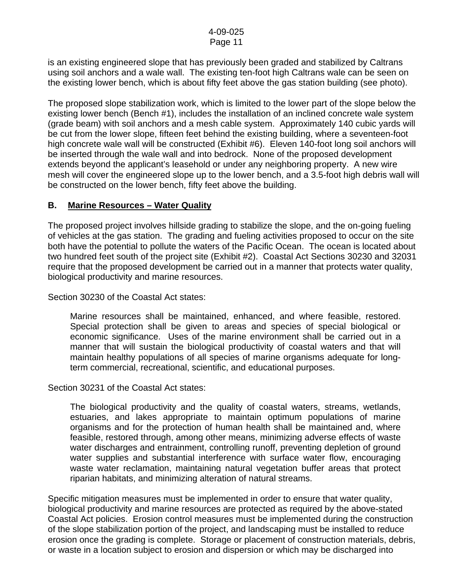is an existing engineered slope that has previously been graded and stabilized by Caltrans using soil anchors and a wale wall. The existing ten-foot high Caltrans wale can be seen on the existing lower bench, which is about fifty feet above the gas station building (see photo).

The proposed slope stabilization work, which is limited to the lower part of the slope below the existing lower bench (Bench #1), includes the installation of an inclined concrete wale system (grade beam) with soil anchors and a mesh cable system. Approximately 140 cubic yards will be cut from the lower slope, fifteen feet behind the existing building, where a seventeen-foot high concrete wale wall will be constructed (Exhibit #6). Eleven 140-foot long soil anchors will be inserted through the wale wall and into bedrock. None of the proposed development extends beyond the applicant's leasehold or under any neighboring property. A new wire mesh will cover the engineered slope up to the lower bench, and a 3.5-foot high debris wall will be constructed on the lower bench, fifty feet above the building.

### **B. Marine Resources – Water Quality**

The proposed project involves hillside grading to stabilize the slope, and the on-going fueling of vehicles at the gas station. The grading and fueling activities proposed to occur on the site both have the potential to pollute the waters of the Pacific Ocean. The ocean is located about two hundred feet south of the project site (Exhibit #2). Coastal Act Sections 30230 and 32031 require that the proposed development be carried out in a manner that protects water quality, biological productivity and marine resources.

Section 30230 of the Coastal Act states:

 Marine resources shall be maintained, enhanced, and where feasible, restored. Special protection shall be given to areas and species of special biological or economic significance. Uses of the marine environment shall be carried out in a manner that will sustain the biological productivity of coastal waters and that will maintain healthy populations of all species of marine organisms adequate for longterm commercial, recreational, scientific, and educational purposes.

Section 30231 of the Coastal Act states:

 The biological productivity and the quality of coastal waters, streams, wetlands, estuaries, and lakes appropriate to maintain optimum populations of marine organisms and for the protection of human health shall be maintained and, where feasible, restored through, among other means, minimizing adverse effects of waste water discharges and entrainment, controlling runoff, preventing depletion of ground water supplies and substantial interference with surface water flow, encouraging waste water reclamation, maintaining natural vegetation buffer areas that protect riparian habitats, and minimizing alteration of natural streams.

Specific mitigation measures must be implemented in order to ensure that water quality, biological productivity and marine resources are protected as required by the above-stated Coastal Act policies. Erosion control measures must be implemented during the construction of the slope stabilization portion of the project, and landscaping must be installed to reduce erosion once the grading is complete. Storage or placement of construction materials, debris, or waste in a location subject to erosion and dispersion or which may be discharged into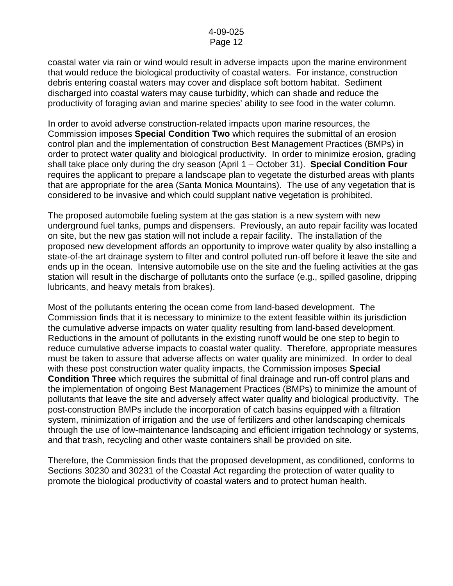coastal water via rain or wind would result in adverse impacts upon the marine environment that would reduce the biological productivity of coastal waters. For instance, construction debris entering coastal waters may cover and displace soft bottom habitat. Sediment discharged into coastal waters may cause turbidity, which can shade and reduce the productivity of foraging avian and marine species' ability to see food in the water column.

In order to avoid adverse construction-related impacts upon marine resources, the Commission imposes **Special Condition Two** which requires the submittal of an erosion control plan and the implementation of construction Best Management Practices (BMPs) in order to protect water quality and biological productivity. In order to minimize erosion, grading shall take place only during the dry season (April 1 – October 31). **Special Condition Four**  requires the applicant to prepare a landscape plan to vegetate the disturbed areas with plants that are appropriate for the area (Santa Monica Mountains). The use of any vegetation that is considered to be invasive and which could supplant native vegetation is prohibited.

The proposed automobile fueling system at the gas station is a new system with new underground fuel tanks, pumps and dispensers. Previously, an auto repair facility was located on site, but the new gas station will not include a repair facility. The installation of the proposed new development affords an opportunity to improve water quality by also installing a state-of-the art drainage system to filter and control polluted run-off before it leave the site and ends up in the ocean. Intensive automobile use on the site and the fueling activities at the gas station will result in the discharge of pollutants onto the surface (e.g., spilled gasoline, dripping lubricants, and heavy metals from brakes).

Most of the pollutants entering the ocean come from land-based development. The Commission finds that it is necessary to minimize to the extent feasible within its jurisdiction the cumulative adverse impacts on water quality resulting from land-based development. Reductions in the amount of pollutants in the existing runoff would be one step to begin to reduce cumulative adverse impacts to coastal water quality. Therefore, appropriate measures must be taken to assure that adverse affects on water quality are minimized. In order to deal with these post construction water quality impacts, the Commission imposes **Special Condition Three** which requires the submittal of final drainage and run-off control plans and the implementation of ongoing Best Management Practices (BMPs) to minimize the amount of pollutants that leave the site and adversely affect water quality and biological productivity. The post-construction BMPs include the incorporation of catch basins equipped with a filtration system, minimization of irrigation and the use of fertilizers and other landscaping chemicals through the use of low-maintenance landscaping and efficient irrigation technology or systems, and that trash, recycling and other waste containers shall be provided on site.

Therefore, the Commission finds that the proposed development, as conditioned, conforms to Sections 30230 and 30231 of the Coastal Act regarding the protection of water quality to promote the biological productivity of coastal waters and to protect human health.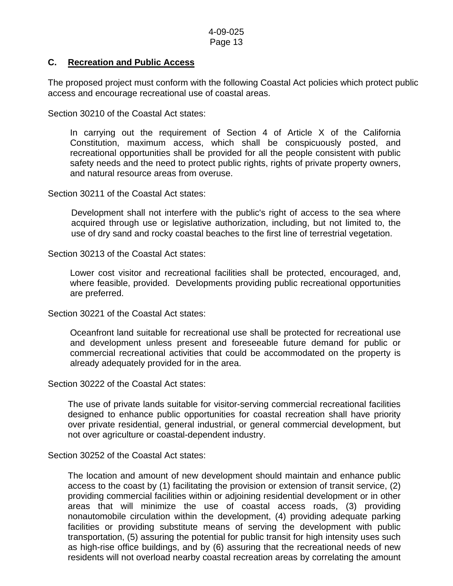### **C. Recreation and Public Access**

The proposed project must conform with the following Coastal Act policies which protect public access and encourage recreational use of coastal areas.

Section 30210 of the Coastal Act states:

 In carrying out the requirement of Section 4 of Article X of the California Constitution, maximum access, which shall be conspicuously posted, and recreational opportunities shall be provided for all the people consistent with public safety needs and the need to protect public rights, rights of private property owners, and natural resource areas from overuse.

Section 30211 of the Coastal Act states:

Development shall not interfere with the public's right of access to the sea where acquired through use or legislative authorization, including, but not limited to, the use of dry sand and rocky coastal beaches to the first line of terrestrial vegetation.

Section 30213 of the Coastal Act states:

 Lower cost visitor and recreational facilities shall be protected, encouraged, and, where feasible, provided. Developments providing public recreational opportunities are preferred.

Section 30221 of the Coastal Act states:

 Oceanfront land suitable for recreational use shall be protected for recreational use and development unless present and foreseeable future demand for public or commercial recreational activities that could be accommodated on the property is already adequately provided for in the area.

Section 30222 of the Coastal Act states:

 The use of private lands suitable for visitor-serving commercial recreational facilities designed to enhance public opportunities for coastal recreation shall have priority over private residential, general industrial, or general commercial development, but not over agriculture or coastal-dependent industry.

Section 30252 of the Coastal Act states:

The location and amount of new development should maintain and enhance public access to the coast by (1) facilitating the provision or extension of transit service, (2) providing commercial facilities within or adjoining residential development or in other areas that will minimize the use of coastal access roads, (3) providing nonautomobile circulation within the development, (4) providing adequate parking facilities or providing substitute means of serving the development with public transportation, (5) assuring the potential for public transit for high intensity uses such as high-rise office buildings, and by (6) assuring that the recreational needs of new residents will not overload nearby coastal recreation areas by correlating the amount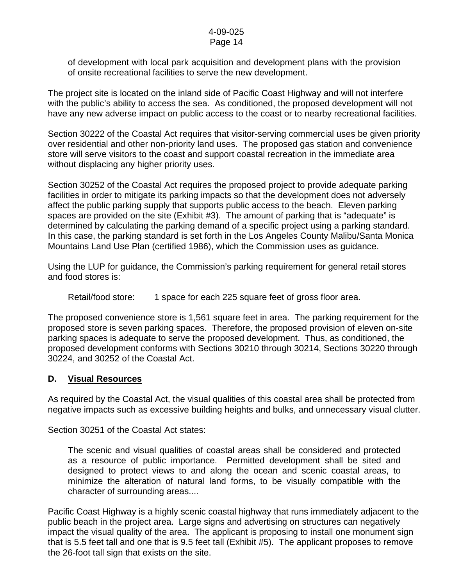# 4-09-025

### Page 14

of development with local park acquisition and development plans with the provision of onsite recreational facilities to serve the new development.

The project site is located on the inland side of Pacific Coast Highway and will not interfere with the public's ability to access the sea. As conditioned, the proposed development will not have any new adverse impact on public access to the coast or to nearby recreational facilities.

Section 30222 of the Coastal Act requires that visitor-serving commercial uses be given priority over residential and other non-priority land uses. The proposed gas station and convenience store will serve visitors to the coast and support coastal recreation in the immediate area without displacing any higher priority uses.

Section 30252 of the Coastal Act requires the proposed project to provide adequate parking facilities in order to mitigate its parking impacts so that the development does not adversely affect the public parking supply that supports public access to the beach. Eleven parking spaces are provided on the site (Exhibit #3). The amount of parking that is "adequate" is determined by calculating the parking demand of a specific project using a parking standard. In this case, the parking standard is set forth in the Los Angeles County Malibu/Santa Monica Mountains Land Use Plan (certified 1986), which the Commission uses as guidance.

Using the LUP for guidance, the Commission's parking requirement for general retail stores and food stores is:

Retail/food store: 1 space for each 225 square feet of gross floor area.

The proposed convenience store is 1,561 square feet in area. The parking requirement for the proposed store is seven parking spaces. Therefore, the proposed provision of eleven on-site parking spaces is adequate to serve the proposed development. Thus, as conditioned, the proposed development conforms with Sections 30210 through 30214, Sections 30220 through 30224, and 30252 of the Coastal Act.

### **D. Visual Resources**

As required by the Coastal Act, the visual qualities of this coastal area shall be protected from negative impacts such as excessive building heights and bulks, and unnecessary visual clutter.

Section 30251 of the Coastal Act states:

 The scenic and visual qualities of coastal areas shall be considered and protected as a resource of public importance. Permitted development shall be sited and designed to protect views to and along the ocean and scenic coastal areas, to minimize the alteration of natural land forms, to be visually compatible with the character of surrounding areas....

Pacific Coast Highway is a highly scenic coastal highway that runs immediately adjacent to the public beach in the project area. Large signs and advertising on structures can negatively impact the visual quality of the area. The applicant is proposing to install one monument sign that is 5.5 feet tall and one that is 9.5 feet tall (Exhibit #5). The applicant proposes to remove the 26-foot tall sign that exists on the site.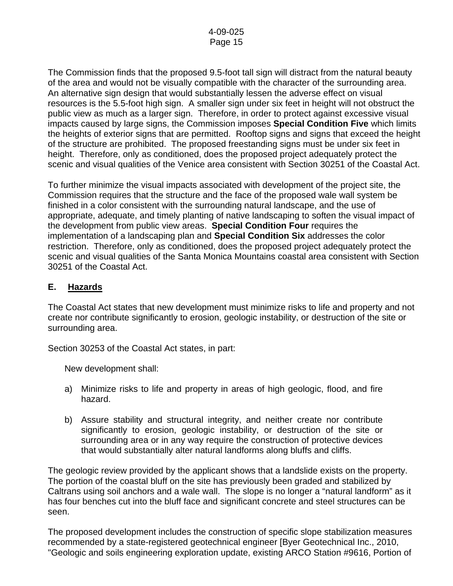The Commission finds that the proposed 9.5-foot tall sign will distract from the natural beauty of the area and would not be visually compatible with the character of the surrounding area. An alternative sign design that would substantially lessen the adverse effect on visual resources is the 5.5-foot high sign. A smaller sign under six feet in height will not obstruct the public view as much as a larger sign. Therefore, in order to protect against excessive visual impacts caused by large signs, the Commission imposes **Special Condition Five** which limits the heights of exterior signs that are permitted. Rooftop signs and signs that exceed the height of the structure are prohibited. The proposed freestanding signs must be under six feet in height. Therefore, only as conditioned, does the proposed project adequately protect the scenic and visual qualities of the Venice area consistent with Section 30251 of the Coastal Act.

To further minimize the visual impacts associated with development of the project site, the Commission requires that the structure and the face of the proposed wale wall system be finished in a color consistent with the surrounding natural landscape, and the use of appropriate, adequate, and timely planting of native landscaping to soften the visual impact of the development from public view areas. **Special Condition Four** requires the implementation of a landscaping plan and **Special Condition Six** addresses the color restriction. Therefore, only as conditioned, does the proposed project adequately protect the scenic and visual qualities of the Santa Monica Mountains coastal area consistent with Section 30251 of the Coastal Act.

### **E. Hazards**

The Coastal Act states that new development must minimize risks to life and property and not create nor contribute significantly to erosion, geologic instability, or destruction of the site or surrounding area.

Section 30253 of the Coastal Act states, in part:

New development shall:

- a) Minimize risks to life and property in areas of high geologic, flood, and fire hazard.
- b) Assure stability and structural integrity, and neither create nor contribute significantly to erosion, geologic instability, or destruction of the site or surrounding area or in any way require the construction of protective devices that would substantially alter natural landforms along bluffs and cliffs.

The geologic review provided by the applicant shows that a landslide exists on the property. The portion of the coastal bluff on the site has previously been graded and stabilized by Caltrans using soil anchors and a wale wall. The slope is no longer a "natural landform" as it has four benches cut into the bluff face and significant concrete and steel structures can be seen.

The proposed development includes the construction of specific slope stabilization measures recommended by a state-registered geotechnical engineer [Byer Geotechnical Inc., 2010, "Geologic and soils engineering exploration update, existing ARCO Station #9616, Portion of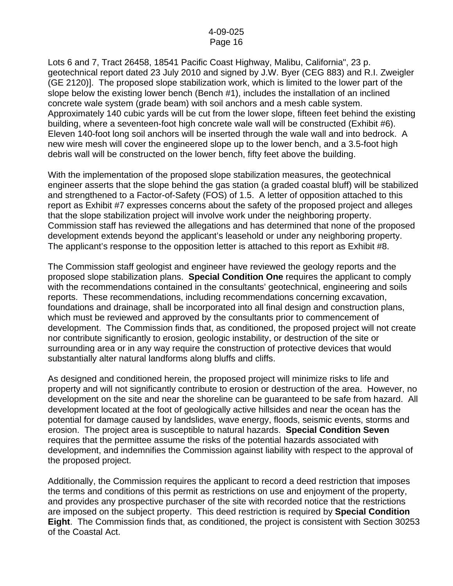Lots 6 and 7, Tract 26458, 18541 Pacific Coast Highway, Malibu, California", 23 p. geotechnical report dated 23 July 2010 and signed by J.W. Byer (CEG 883) and R.I. Zweigler (GE 2120)]. The proposed slope stabilization work, which is limited to the lower part of the slope below the existing lower bench (Bench #1), includes the installation of an inclined concrete wale system (grade beam) with soil anchors and a mesh cable system. Approximately 140 cubic yards will be cut from the lower slope, fifteen feet behind the existing building, where a seventeen-foot high concrete wale wall will be constructed (Exhibit #6). Eleven 140-foot long soil anchors will be inserted through the wale wall and into bedrock. A new wire mesh will cover the engineered slope up to the lower bench, and a 3.5-foot high debris wall will be constructed on the lower bench, fifty feet above the building.

With the implementation of the proposed slope stabilization measures, the geotechnical engineer asserts that the slope behind the gas station (a graded coastal bluff) will be stabilized and strengthened to a Factor-of-Safety (FOS) of 1.5. A letter of opposition attached to this report as Exhibit #7 expresses concerns about the safety of the proposed project and alleges that the slope stabilization project will involve work under the neighboring property. Commission staff has reviewed the allegations and has determined that none of the proposed development extends beyond the applicant's leasehold or under any neighboring property. The applicant's response to the opposition letter is attached to this report as Exhibit #8.

The Commission staff geologist and engineer have reviewed the geology reports and the proposed slope stabilization plans. **Special Condition One** requires the applicant to comply with the recommendations contained in the consultants' geotechnical, engineering and soils reports. These recommendations, including recommendations concerning excavation, foundations and drainage, shall be incorporated into all final design and construction plans, which must be reviewed and approved by the consultants prior to commencement of development. The Commission finds that, as conditioned, the proposed project will not create nor contribute significantly to erosion, geologic instability, or destruction of the site or surrounding area or in any way require the construction of protective devices that would substantially alter natural landforms along bluffs and cliffs.

As designed and conditioned herein, the proposed project will minimize risks to life and property and will not significantly contribute to erosion or destruction of the area. However, no development on the site and near the shoreline can be guaranteed to be safe from hazard. All development located at the foot of geologically active hillsides and near the ocean has the potential for damage caused by landslides, wave energy, floods, seismic events, storms and erosion. The project area is susceptible to natural hazards. **Special Condition Seven** requires that the permittee assume the risks of the potential hazards associated with development, and indemnifies the Commission against liability with respect to the approval of the proposed project.

Additionally, the Commission requires the applicant to record a deed restriction that imposes the terms and conditions of this permit as restrictions on use and enjoyment of the property, and provides any prospective purchaser of the site with recorded notice that the restrictions are imposed on the subject property. This deed restriction is required by **Special Condition Eight**. The Commission finds that, as conditioned, the project is consistent with Section 30253 of the Coastal Act.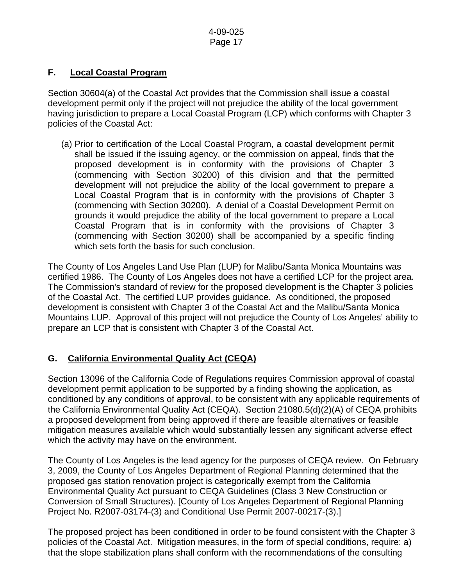# **F. Local Coastal Program**

Section 30604(a) of the Coastal Act provides that the Commission shall issue a coastal development permit only if the project will not prejudice the ability of the local government having jurisdiction to prepare a Local Coastal Program (LCP) which conforms with Chapter 3 policies of the Coastal Act:

 (a) Prior to certification of the Local Coastal Program, a coastal development permit shall be issued if the issuing agency, or the commission on appeal, finds that the proposed development is in conformity with the provisions of Chapter 3 (commencing with Section 30200) of this division and that the permitted development will not prejudice the ability of the local government to prepare a Local Coastal Program that is in conformity with the provisions of Chapter 3 (commencing with Section 30200). A denial of a Coastal Development Permit on grounds it would prejudice the ability of the local government to prepare a Local Coastal Program that is in conformity with the provisions of Chapter 3 (commencing with Section 30200) shall be accompanied by a specific finding which sets forth the basis for such conclusion.

The County of Los Angeles Land Use Plan (LUP) for Malibu/Santa Monica Mountains was certified 1986. The County of Los Angeles does not have a certified LCP for the project area. The Commission's standard of review for the proposed development is the Chapter 3 policies of the Coastal Act. The certified LUP provides guidance. As conditioned, the proposed development is consistent with Chapter 3 of the Coastal Act and the Malibu/Santa Monica Mountains LUP. Approval of this project will not prejudice the County of Los Angeles' ability to prepare an LCP that is consistent with Chapter 3 of the Coastal Act.

# **G. California Environmental Quality Act (CEQA)**

Section 13096 of the California Code of Regulations requires Commission approval of coastal development permit application to be supported by a finding showing the application, as conditioned by any conditions of approval, to be consistent with any applicable requirements of the California Environmental Quality Act (CEQA). Section 21080.5(d)(2)(A) of CEQA prohibits a proposed development from being approved if there are feasible alternatives or feasible mitigation measures available which would substantially lessen any significant adverse effect which the activity may have on the environment.

The County of Los Angeles is the lead agency for the purposes of CEQA review. On February 3, 2009, the County of Los Angeles Department of Regional Planning determined that the proposed gas station renovation project is categorically exempt from the California Environmental Quality Act pursuant to CEQA Guidelines (Class 3 New Construction or Conversion of Small Structures). [County of Los Angeles Department of Regional Planning Project No. R2007-03174-(3) and Conditional Use Permit 2007-00217-(3).]

The proposed project has been conditioned in order to be found consistent with the Chapter 3 policies of the Coastal Act. Mitigation measures, in the form of special conditions, require: a) that the slope stabilization plans shall conform with the recommendations of the consulting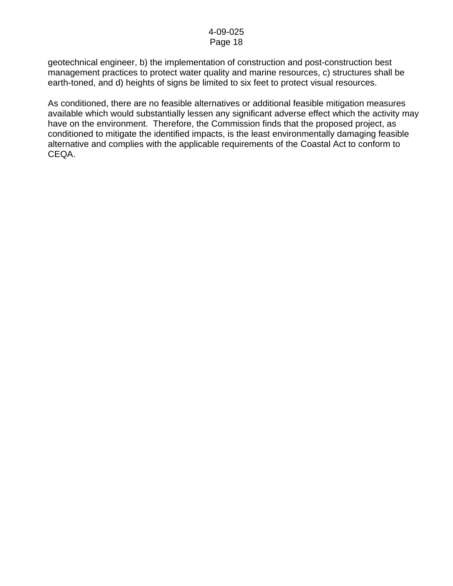geotechnical engineer, b) the implementation of construction and post-construction best management practices to protect water quality and marine resources, c) structures shall be earth-toned, and d) heights of signs be limited to six feet to protect visual resources.

As conditioned, there are no feasible alternatives or additional feasible mitigation measures available which would substantially lessen any significant adverse effect which the activity may have on the environment. Therefore, the Commission finds that the proposed project, as conditioned to mitigate the identified impacts, is the least environmentally damaging feasible alternative and complies with the applicable requirements of the Coastal Act to conform to CEQA.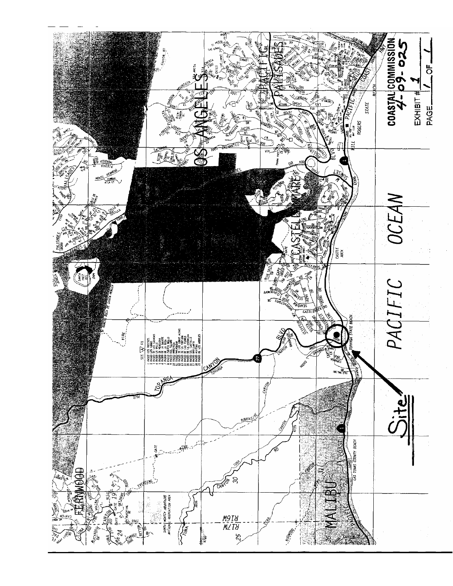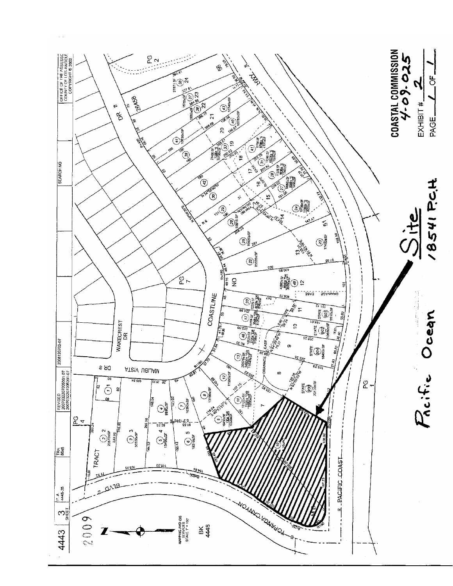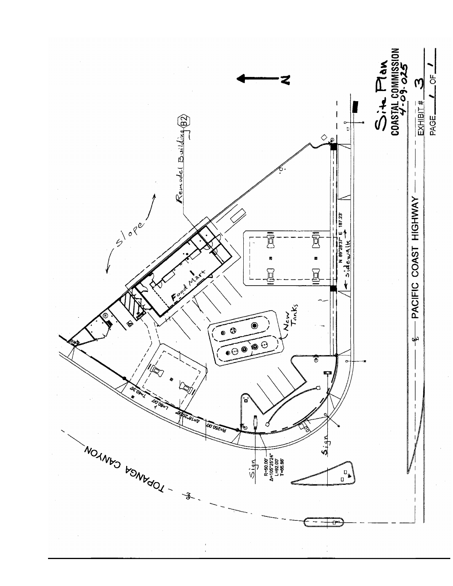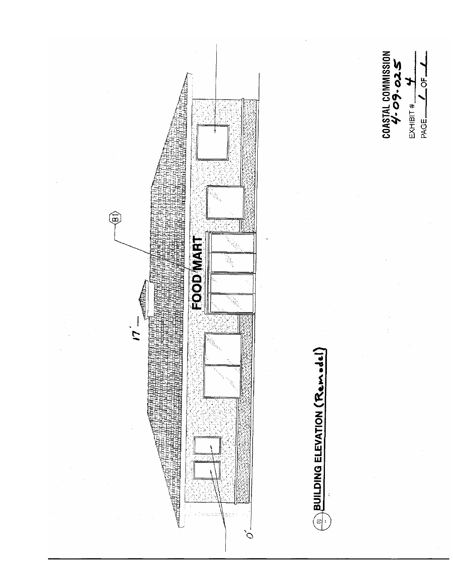



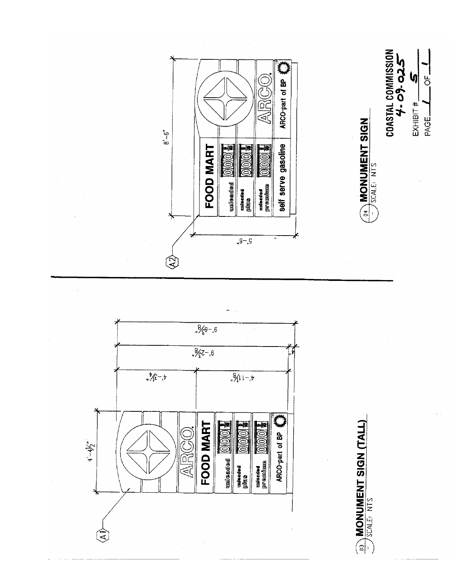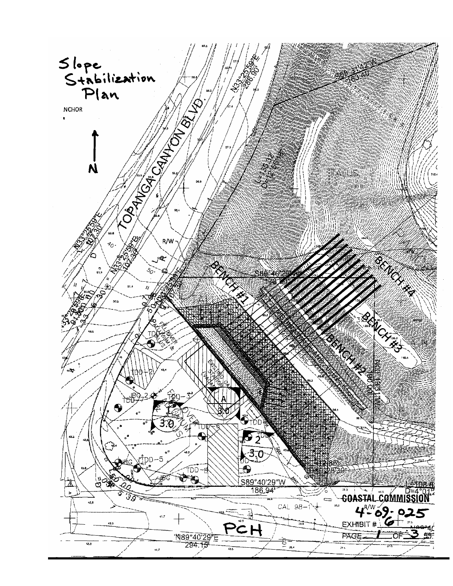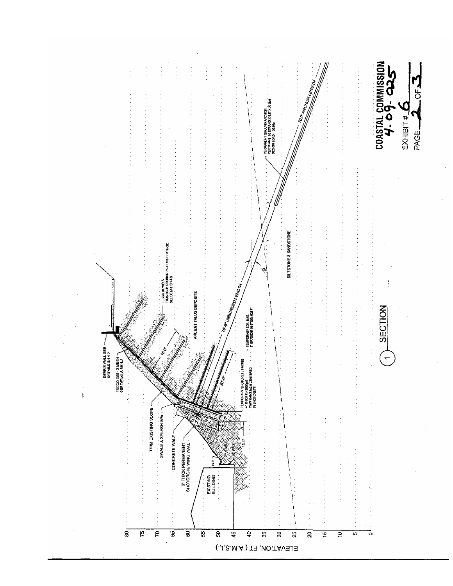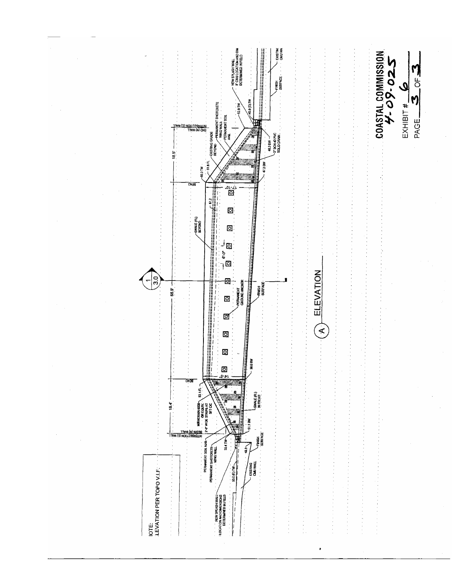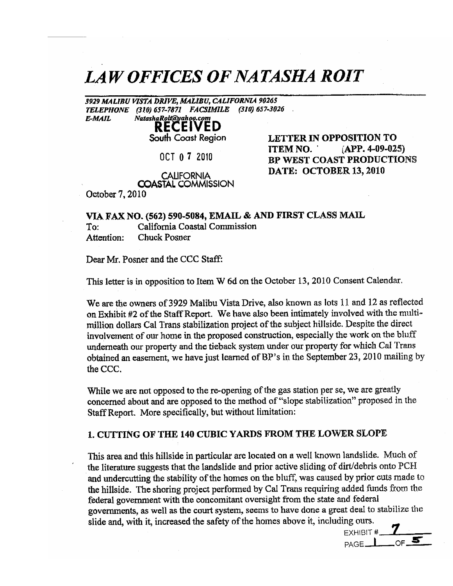# **LAW OFFICES OF NATASHA ROIT**

3929 MALIBU VISTA DRIVE, MALIBU, CALIFORNIA 90265 TELEPHONE (310) 657-7871 FACSIMILE (310) 657-3026 Natasha Rolt@yahoo.com **E-MAIL** 

# **RECEIVED**

South Coast Region

OCT 0 7 2010

LETTER IN OPPOSITION TO  $(APP. 4-09-025)$ **ITEM NO.** BP WEST COAST PRODUCTIONS DATE: OCTOBER 13, 2010

**CALIFORNIA COASTAL COMMISSION** 

October 7, 2010

### VIA FAX NO. (562) 590-5084, EMAIL & AND FIRST CLASS MAIL

California Coastal Commission To: **Chuck Posner** Attention:

Dear Mr. Posner and the CCC Staff:

This letter is in opposition to Item W 6d on the October 13, 2010 Consent Calendar.

We are the owners of 3929 Malibu Vista Drive, also known as lots 11 and 12 as reflected on Exhibit #2 of the Staff Report. We have also been intimately involved with the multimillion dollars Cal Trans stabilization project of the subject hillside. Despite the direct involvement of our home in the proposed construction, especially the work on the bluff underneath our property and the tieback system under our property for which Cal Trans obtained an easement, we have just learned of BP's in the September 23, 2010 mailing by the CCC.

While we are not opposed to the re-opening of the gas station per se, we are greatly concerned about and are opposed to the method of "slope stabilization" proposed in the Staff Report. More specifically, but without limitation:

### 1. CUTTING OF THE 140 CUBIC YARDS FROM THE LOWER SLOPE

This area and this hillside in particular are located on a well known landslide. Much of the literature suggests that the landslide and prior active sliding of dirt/debris onto PCH and undercutting the stability of the homes on the bluff, was caused by prior cuts made to the hillside. The shoring project performed by Cal Trans requiring added funds from the federal government with the concomitant oversight from the state and federal governments, as well as the court system, seems to have done a great deal to stabilize the slide and, with it, increased the safety of the homes above it, including ours.

EXHIBIT #  $-$  OF  $\overline{\mathbf{S}}$  $PAGE$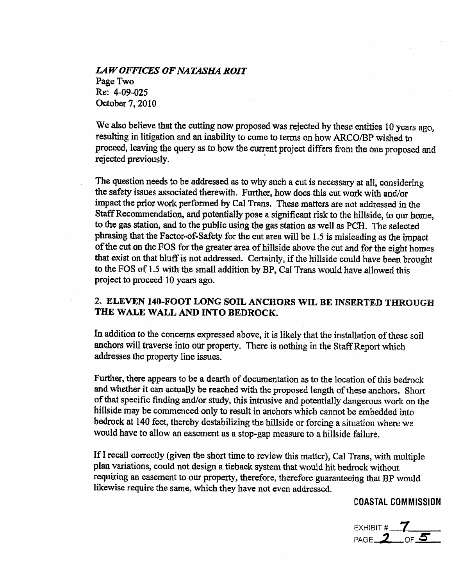**LAW OFFICES OF NATASHA ROIT** Page Two Re: 4-09-025 October 7, 2010

We also believe that the cutting now proposed was rejected by these entities 10 years ago, resulting in litigation and an inability to come to terms on how ARCO/BP wished to proceed, leaving the query as to how the current project differs from the one proposed and rejected previously.

The question needs to be addressed as to why such a cut is necessary at all, considering the safety issues associated therewith. Further, how does this cut work with and/or impact the prior work performed by Cal Trans. These matters are not addressed in the Staff Recommendation, and potentially pose a significant risk to the hillside, to our home, to the gas station, and to the public using the gas station as well as PCH. The selected phrasing that the Factor-of-Safety for the cut area will be 1.5 is misleading as the impact of the cut on the FOS for the greater area of hillside above the cut and for the eight homes that exist on that bluff is not addressed. Certainly, if the hillside could have been brought to the FOS of 1.5 with the small addition by BP, Cal Trans would have allowed this project to proceed 10 years ago.

## 2. ELEVEN 140-FOOT LONG SOIL ANCHORS WIL BE INSERTED THROUGH THE WALE WALL AND INTO BEDROCK.

In addition to the concerns expressed above, it is likely that the installation of these soil anchors will traverse into our property. There is nothing in the Staff Report which addresses the property line issues.

Further, there appears to be a dearth of documentation as to the location of this bedrock and whether it can actually be reached with the proposed length of these anchors. Short of that specific finding and/or study, this intrusive and potentially dangerous work on the hillside may be commenced only to result in anchors which cannot be embedded into bedrock at 140 feet, thereby destabilizing the hillside or forcing a situation where we would have to allow an easement as a stop-gap measure to a hillside failure.

If I recall correctly (given the short time to review this matter), Cal Trans, with multiple plan variations, could not design a tieback system that would hit bedrock without requiring an easement to our property, therefore, therefore guaranteeing that BP would likewise require the same, which they have not even addressed.

### **COASTAL COMMISSION**

EXHIBIT #  $\frac{7}{2}$  of 5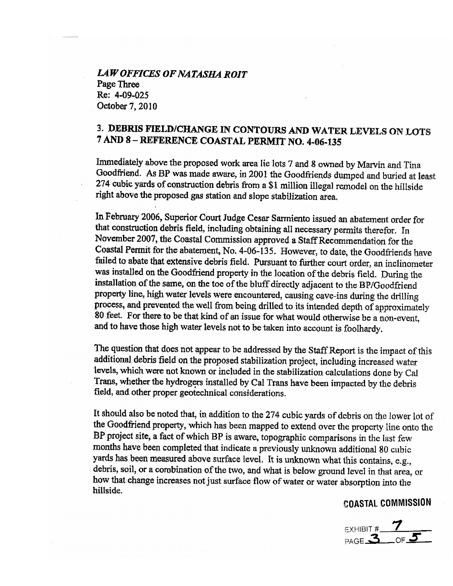**LAW OFFICES OF NATASHA ROIT** Page Three Re: 4-09-025 October 7, 2010

# 3. DEBRIS FIELD/CHANGE IN CONTOURS AND WATER LEVELS ON LOTS 7 AND 8-REFERENCE COASTAL PERMIT NO. 4-06-135

Immediately above the proposed work area lie lots 7 and 8 owned by Marvin and Tina Goodfriend. As BP was made aware, in 2001 the Goodfriends dumped and buried at least 274 cubic yards of construction debris from a \$1 million illegal remodel on the hillside right above the proposed gas station and slope stabilization area.

In February 2006, Superior Court Judge Cesar Sarmiento issued an abatement order for that construction debris field, including obtaining all necessary permits therefor. In November 2007, the Coastal Commission approved a Staff Recommendation for the Coastal Permit for the abatement, No. 4-06-135. However, to date, the Goodfriends have failed to abate that extensive debris field. Pursuant to further court order, an inclinometer was installed on the Goodfriend property in the location of the debris field. During the installation of the same, on the toe of the bluff directly adjacent to the BP/Goodfriend property line, high water levels were encountered, causing cave-ins during the drilling process, and prevented the well from being drilled to its intended depth of approximately 80 feet. For there to be that kind of an issue for what would otherwise be a non-event, and to have those high water levels not to be taken into account is foolhardy.

The question that does not appear to be addressed by the Staff Report is the impact of this additional debris field on the proposed stabilization project, including increased water levels, which were not known or included in the stabilization calculations done by Cal Trans, whether the hydrogers installed by Cal Trans have been impacted by the debris field, and other proper geotechnical considerations.

It should also be noted that, in addition to the 274 cubic yards of debris on the lower lot of the Goodfriend property, which has been mapped to extend over the property line onto the BP project site, a fact of which BP is aware, topographic comparisons in the last few months have been completed that indicate a previously unknown additional 80 cubic yards has been measured above surface level. It is unknown what this contains, e.g., debris, soil, or a combination of the two, and what is below ground level in that area, or how that change increases not just surface flow of water or water absorption into the hillside.

## **COASTAL COMMISSION**

EXHIBIT #  $\frac{7}{PAGE 3 \cdot OF 5}$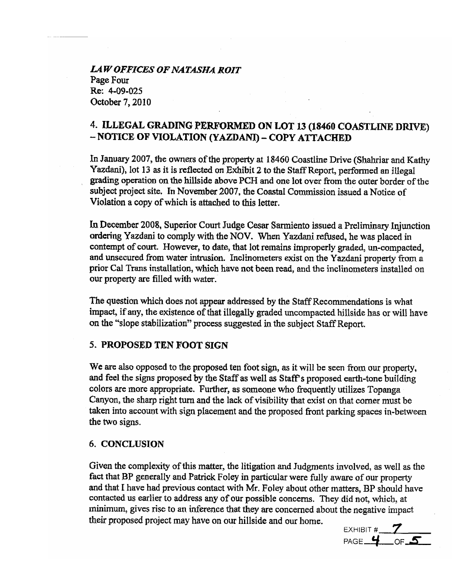**LAW OFFICES OF NATASHA ROIT** Page Four Re: 4-09-025 October 7, 2010

# 4. ILLEGAL GRADING PERFORMED ON LOT 13 (18460 COASTLINE DRIVE) - NOTICE OF VIOLATION (YAZDANI) - COPY ATTACHED

In January 2007, the owners of the property at 18460 Coastline Drive (Shahriar and Kathy Yazdani), lot 13 as it is reflected on Exhibit 2 to the Staff Report, performed an illegal grading operation on the hillside above PCH and one lot over from the outer border of the subject project site. In November 2007, the Coastal Commission issued a Notice of Violation a copy of which is attached to this letter.

In December 2008, Superior Court Judge Cesar Sarmiento issued a Preliminary Injunction ordering Yazdani to comply with the NOV. When Yazdani refused, he was placed in contempt of court. However, to date, that lot remains improperly graded, un-compacted, and unsecured from water intrusion. Inclinometers exist on the Yazdani property from a prior Cal Trans installation, which have not been read, and the inclinemeters installed on our property are filled with water.

The question which does not appear addressed by the Staff Recommendations is what impact, if any, the existence of that illegally graded uncompacted hillside has or will have on the "slope stabilization" process suggested in the subject Staff Report.

### 5. PROPOSED TEN FOOT SIGN

We are also opposed to the proposed ten foot sign, as it will be seen from our property, and feel the signs proposed by the Staff as well as Staff's proposed earth-tone building colors are more appropriate. Further, as someone who frequently utilizes Topanga Canyon, the sharp right turn and the lack of visibility that exist on that corner must be taken into account with sign placement and the proposed front parking spaces in-between the two signs.

### 6. CONCLUSION

Given the complexity of this matter, the litigation and Judgments involved, as well as the fact that BP generally and Patrick Foley in particular were fully aware of our property and that I have had previous contact with Mr. Foley about other matters, BP should have contacted us earlier to address any of our possible concerns. They did not, which, at minimum, gives rise to an inference that they are concerned about the negative impact their proposed project may have on our hillside and our home.

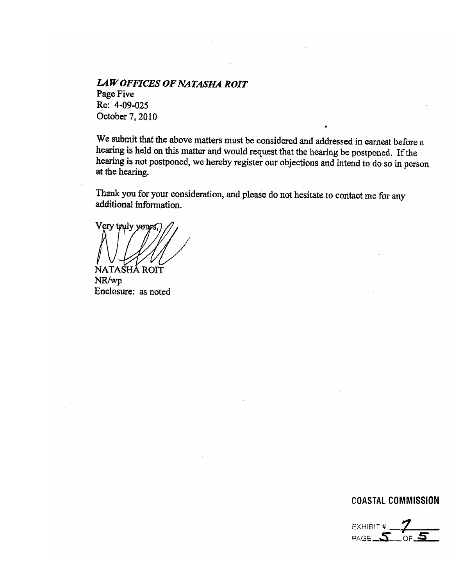**LAW OFFICES OF NATASHA ROIT** Page Five Re: 4-09-025 October 7, 2010

We submit that the above matters must be considered and addressed in earnest before a hearing is held on this matter and would request that the hearing be postponed. If the hearing is not postponed, we hereby register our objections and intend to do so in person at the hearing.

Thank you for your consideration, and please do not hesitate to contact me for any additional information.

Very truly yours. NATASHÁ ROIT

NR/wp Enclosure: as noted

### **COASTAL COMMISSION**

EXHIBIT # PAGE\_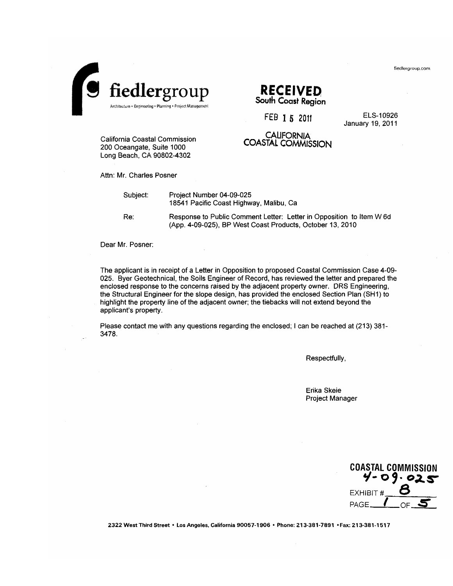



# **RECEIVED** South Coast Region

FEB 1 5 2011

**CALIFORNIA** COASTAL COMMISSION

ELS-10926 January 19, 2011

California Coastal Commission 200 Oceangate, Suite 1000 Long Beach, CA 90802-4302

Attn: Mr. Charles Posner

Subject:

Project Number 04-09-025 18541 Pacific Coast Highway, Malibu, Ca

Response to Public Comment Letter: Letter in Opposition to Item W 6d (App. 4-09-025), BP West Coast Products, October 13, 2010

Dear Mr. Posner:

Re:

The applicant is in receipt of a Letter in Opposition to proposed Coastal Commission Case 4-09-025. Byer Geotechnical, the Soils Engineer of Record, has reviewed the letter and prepared the enclosed response to the concerns raised by the adjacent property owner. DRS Engineering, the Structural Engineer for the slope design, has provided the enclosed Section Plan (SH1) to highlight the property line of the adjacent owner; the tiebacks will not extend beyond the applicant's property.

Please contact me with any questions regarding the enclosed; I can be reached at (213) 381-3478.

Respectfully,

Erika Skeie Project Manager



2322 West Third Street . Los Angeles, California 90057-1906 . Phone: 213-381-7891 . Fax: 213-381-1517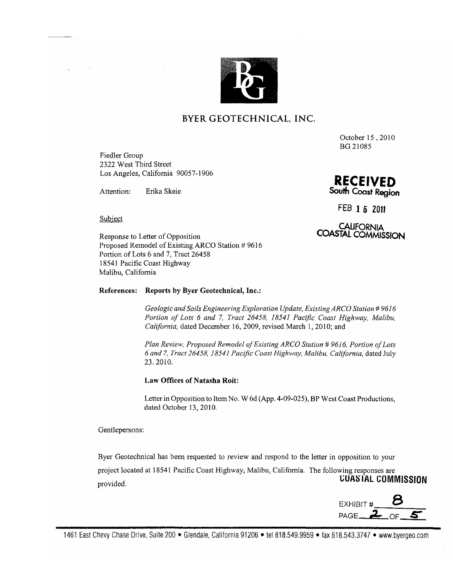

### BYER GEOTECHNICAL, INC.

October 15, 2010 BG 21085

Fiedler Group 2322 West Third Street Los Angeles, California 90057-1906

Attention: Erika Skeie South Coast Region

**RECEIVED** 

FEB 1 5 2011

CALIFORNIA<br>COASTAL COMMISSION

Subject

Response to Letter of Opposition Proposed Remodel of Existing ARCO Station #9616 Portion of Lots 6 and 7, Tract 26458 18541 Pacific Coast Highway Malibu, California

#### References: Reports by Byer Geotechnical, Inc.:

Geologic and Soils Engineering Exploration Update, Existing ARCO Station # 9616 Portion of Lots 6 and 7, Tract 26458, 18541 Pacific Coast Highway, Malibu, California, dated December 16, 2009, revised March 1, 2010; and

Plan Review, Proposed Remodel of Existing ARCO Station # 9616, Portion of Lots 6 and 7, Tract 26458, 18541 Pacific Coast Highway, Malibu, California, dated July 23.2010.

Law Offices of Natasha Roit:

Letter in Opposition to Item No. W 6d (App. 4-09-025), BP West Coast Productions, dated October 13, 2010.

Gentlepersons:

Byer Geotechnical has been requested to review and respond to the letter in opposition to your project located at 18541 Pacific Coast Highway, Malibu, California. The following responses are **COASTAL COMMISSION** provided.

EXHIBIT # PAGE  $\mathbf{2}$ 

1461 East Chevy Chase Drive, Suite 200 • Glendale, California 91206 • tel 818.549.9959 • fax 818.543.3747 • www.byergeo.com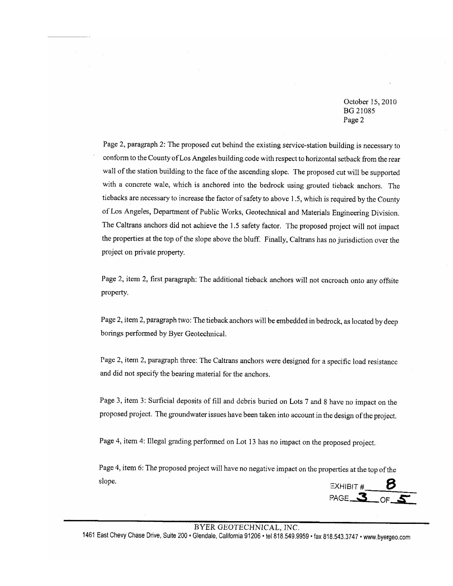October 15, 2010 **BG 21085** Page 2

Page 2, paragraph 2: The proposed cut behind the existing service-station building is necessary to conform to the County of Los Angeles building code with respect to horizontal setback from the rear wall of the station building to the face of the ascending slope. The proposed cut will be supported with a concrete wale, which is anchored into the bedrock using grouted tieback anchors. The tiebacks are necessary to increase the factor of safety to above 1.5, which is required by the County of Los Angeles, Department of Public Works, Geotechnical and Materials Engineering Division. The Caltrans anchors did not achieve the 1.5 safety factor. The proposed project will not impact the properties at the top of the slope above the bluff. Finally, Caltrans has no jurisdiction over the project on private property.

Page 2, item 2, first paragraph: The additional tieback anchors will not encroach onto any offsite property.

Page 2, item 2, paragraph two: The tieback anchors will be embedded in bedrock, as located by deep borings performed by Byer Geotechnical.

Page 2, item 2, paragraph three: The Caltrans anchors were designed for a specific load resistance and did not specify the bearing material for the anchors.

Page 3, item 3: Surficial deposits of fill and debris buried on Lots 7 and 8 have no impact on the proposed project. The groundwater issues have been taken into account in the design of the project.

Page 4, item 4: Illegal grading performed on Lot 13 has no impact on the proposed project.

Page 4, item 6: The proposed project will have no negative impact on the properties at the top of the slope.

EXHIBIT #  $\frac{6}{5}$ 

#### BYER GEOTECHNICAL, INC.

1461 East Chevy Chase Drive, Suite 200 · Glendale, California 91206 · tel 818.549.9959 · fax 818.543.3747 · www.byergeo.com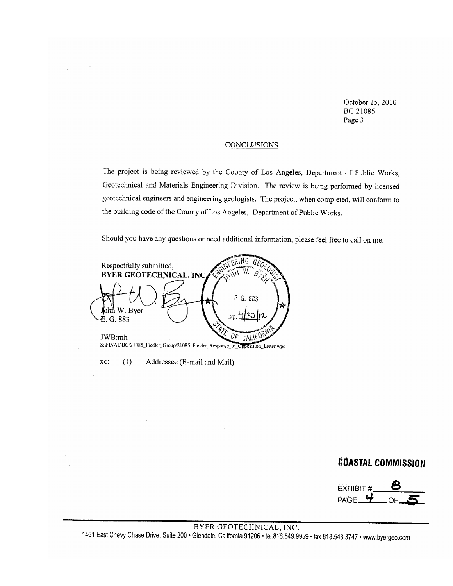October 15, 2010 **BG 21085** Page 3

#### **CONCLUSIONS**

The project is being reviewed by the County of Los Angeles, Department of Public Works, Geotechnical and Materials Engineering Division. The review is being performed by licensed geotechnical engineers and engineering geologists. The project, when completed, will conform to the building code of the County of Los Angeles, Department of Public Works.

Should you have any questions or need additional information, please feel free to call on me.

ang G Respectfully submitted, W **BYER GEOTECHNICAL, INC** B E.G. 823 W. Bver G. 883 JWB:mh CAL S:\FINAL\BG\21085\_Fiedler\_Group\21085\_Fielder\_Response\_to\_Opposition\_Letter.wpd

Addressee (E-mail and Mail)

xc:

 $(1)$ 

# **COASTAL COMMISSION**

**EXHIBIT #** PAGE.